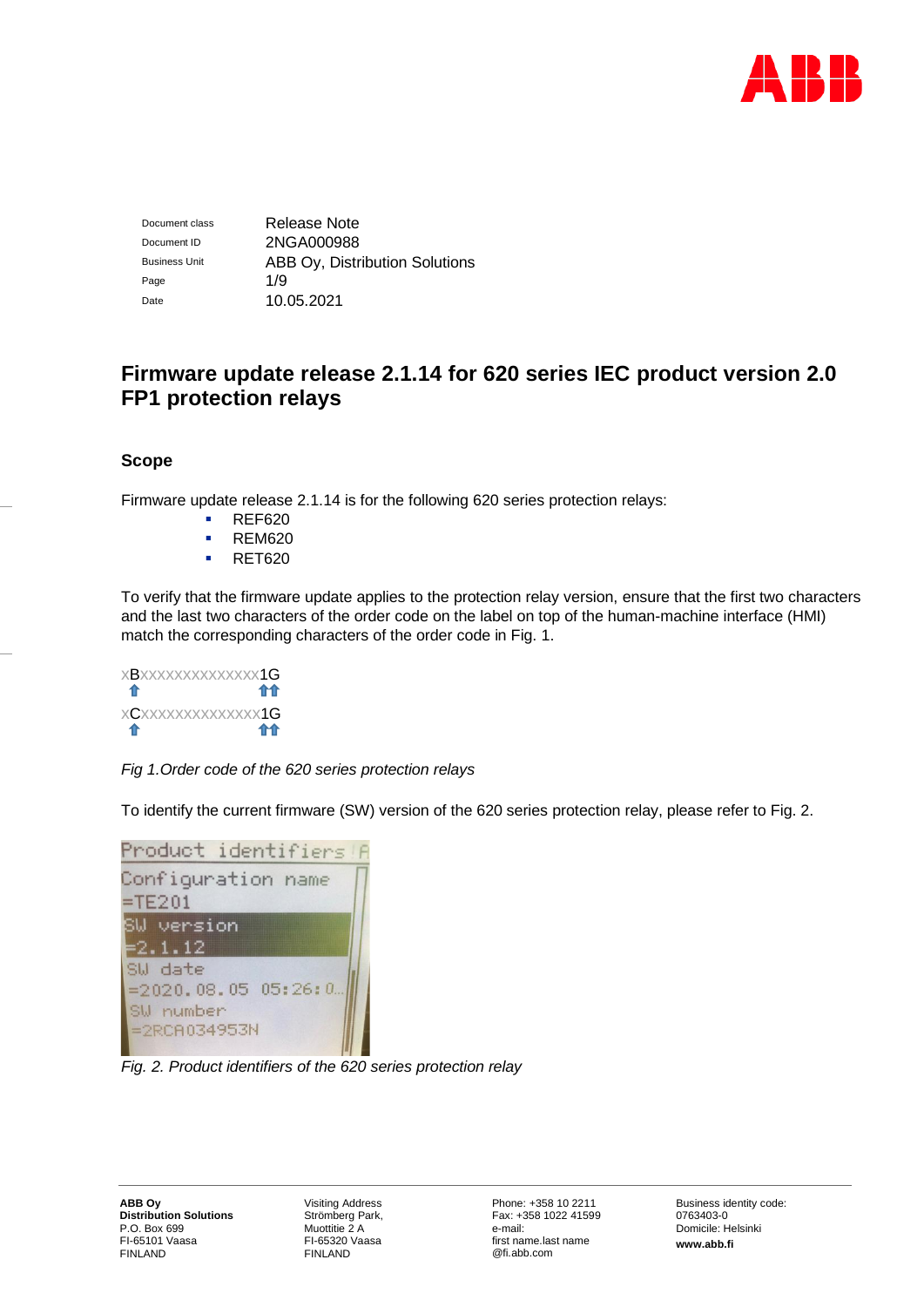

Document class Release Note Document ID 2NGA000988 Business Unit **ABB Oy, Distribution Solutions** Page 1/9 Date 10.05.2021

# **Firmware update release 2.1.14 for 620 series IEC product version 2.0 FP1 protection relays**

# **Scope**

Firmware update release 2.1.14 is for the following 620 series protection relays:

- REF620
- REM620
- RET620

To verify that the firmware update applies to the protection relay version, ensure that the first two characters and the last two characters of the order code on the label on top of the human-machine interface (HMI) match the corresponding characters of the order code in Fig. 1.



*Fig 1.Order code of the 620 series protection relays*

To identify the current firmware (SW) version of the 620 series protection relay, please refer to Fig. 2.



*Fig. 2. Product identifiers of the 620 series protection relay*

Visiting Address Strömberg Park, Muottitie 2 A FI-65320 Vaasa FINLAND

Phone: +358 10 2211 Fax: +358 1022 41599 e-mail: first name.last name @fi.abb.com

Business identity code: 0763403-0 Domicile: Helsinki **www.abb.fi**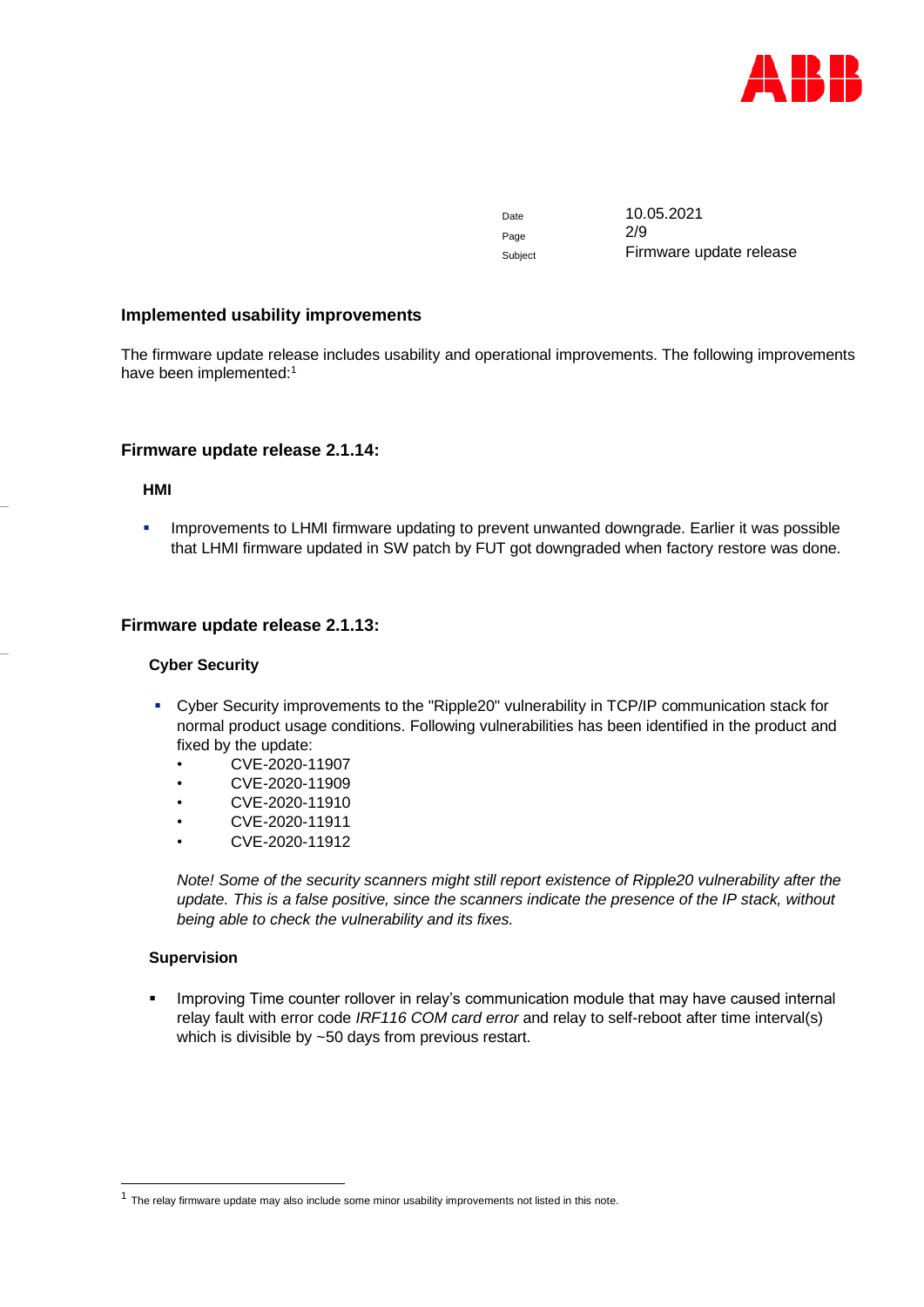

Page 2/9

Date 10.05.2021 Subject **Firmware update release** 

# **Implemented usability improvements**

The firmware update release includes usability and operational improvements. The following improvements have been implemented:<sup>1</sup>

#### **Firmware update release 2.1.14:**

#### **HMI**

**·** Improvements to LHMI firmware updating to prevent unwanted downgrade. Earlier it was possible that LHMI firmware updated in SW patch by FUT got downgraded when factory restore was done.

# **Firmware update release 2.1.13:**

#### **Cyber Security**

- Cyber Security improvements to the "Ripple20" vulnerability in TCP/IP communication stack for normal product usage conditions. Following vulnerabilities has been identified in the product and fixed by the update:
	- CVE-2020-11907
	- CVE-2020-11909
	- CVE-2020-11910
	- CVE-2020-11911
	- CVE-2020-11912

*Note! Some of the security scanners might still report existence of Ripple20 vulnerability after the update. This is a false positive, since the scanners indicate the presence of the IP stack, without being able to check the vulnerability and its fixes.*

#### **Supervision**

Improving Time counter rollover in relay's communication module that may have caused internal relay fault with error code *IRF116 COM card error* and relay to self-reboot after time interval(s) which is divisible by ~50 days from previous restart.

<sup>&</sup>lt;sup>1</sup> The relay firmware update may also include some minor usability improvements not listed in this note.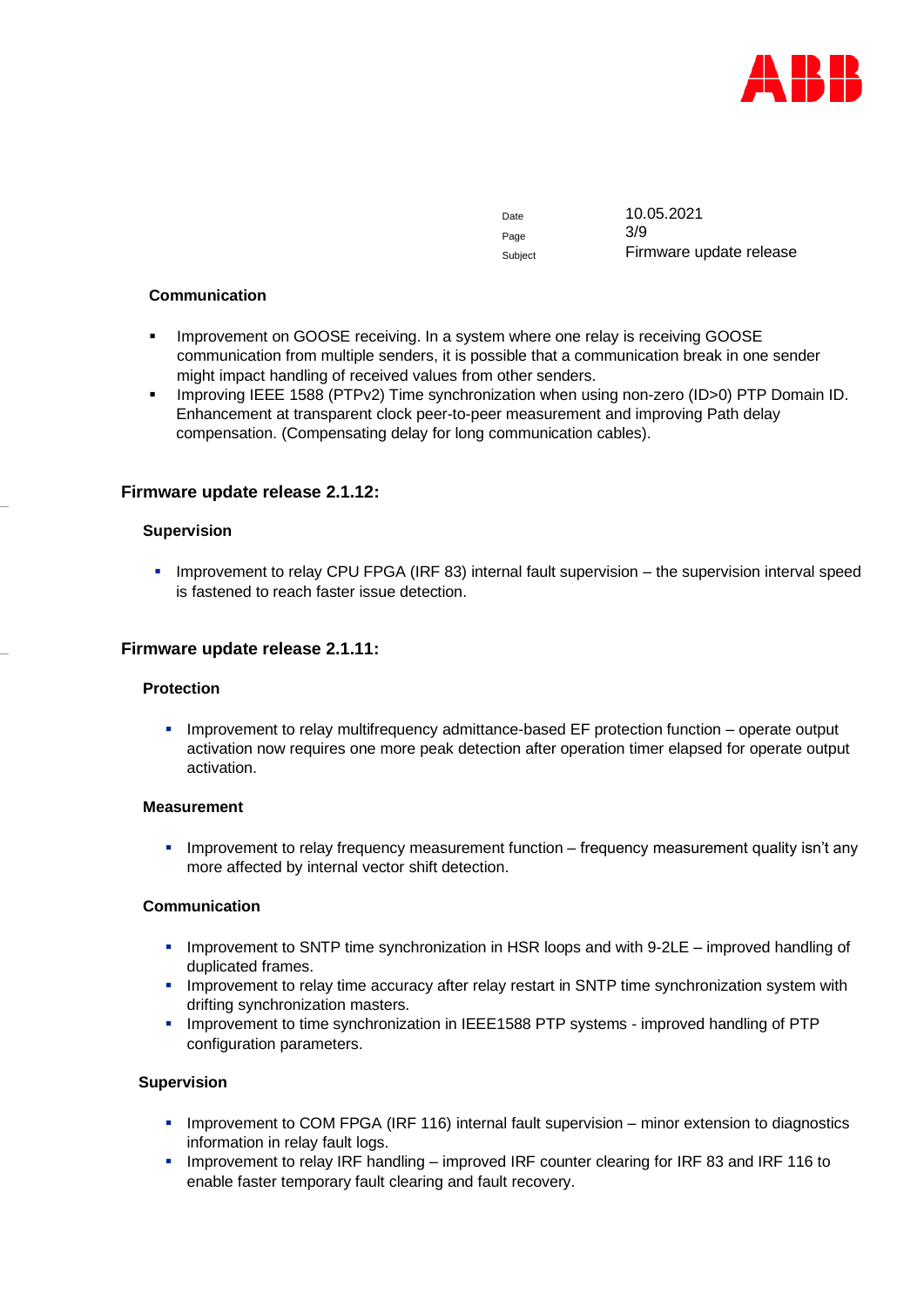

Date 10.05.2021 Page 3/9 Subject **Firmware update release** 

#### **Communication**

- Improvement on GOOSE receiving. In a system where one relay is receiving GOOSE communication from multiple senders, it is possible that a communication break in one sender might impact handling of received values from other senders.
- Improving IEEE 1588 (PTPv2) Time synchronization when using non-zero (ID>0) PTP Domain ID. Enhancement at transparent clock peer-to-peer measurement and improving Path delay compensation. (Compensating delay for long communication cables).

# **Firmware update release 2.1.12:**

#### **Supervision**

▪ Improvement to relay CPU FPGA (IRF 83) internal fault supervision – the supervision interval speed is fastened to reach faster issue detection.

# **Firmware update release 2.1.11:**

# **Protection**

**EXECT** Improvement to relay multifrequency admittance-based EF protection function – operate output activation now requires one more peak detection after operation timer elapsed for operate output activation.

#### **Measurement**

**E** Improvement to relay frequency measurement function – frequency measurement quality isn't any more affected by internal vector shift detection.

# **Communication**

- **·** Improvement to SNTP time synchronization in HSR loops and with 9-2LE improved handling of duplicated frames.
- **.** Improvement to relay time accuracy after relay restart in SNTP time synchronization system with drifting synchronization masters.
- Improvement to time synchronization in IEEE1588 PTP systems improved handling of PTP configuration parameters.

# **Supervision**

- **·** Improvement to COM FPGA (IRF 116) internal fault supervision minor extension to diagnostics information in relay fault logs.
- Improvement to relay IRF handling improved IRF counter clearing for IRF 83 and IRF 116 to enable faster temporary fault clearing and fault recovery.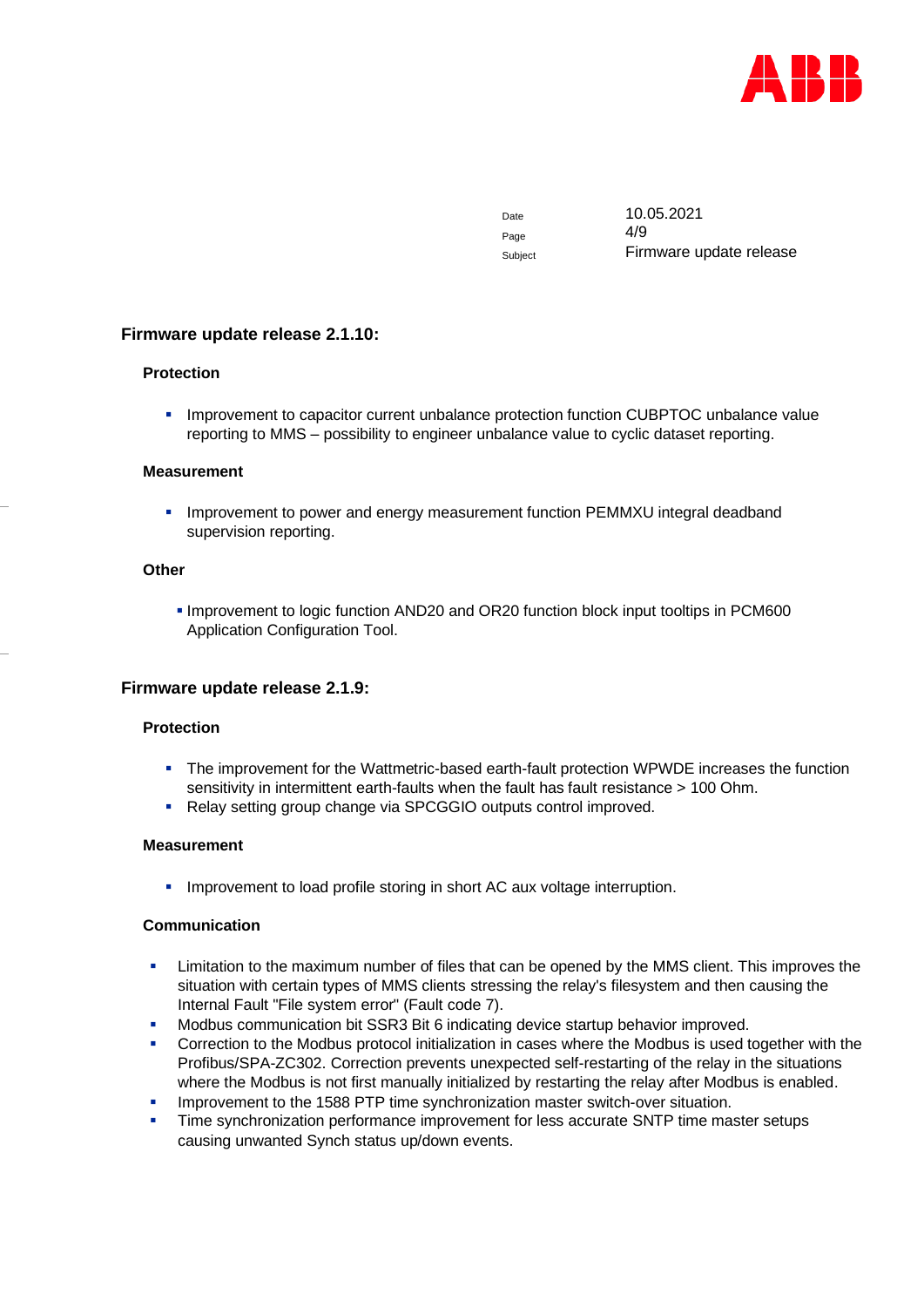

Page 4/9

Date 10.05.2021 Subject **Firmware update release** 

# **Firmware update release 2.1.10:**

#### **Protection**

**·** Improvement to capacitor current unbalance protection function CUBPTOC unbalance value reporting to MMS – possibility to engineer unbalance value to cyclic dataset reporting.

#### **Measurement**

▪ Improvement to power and energy measurement function PEMMXU integral deadband supervision reporting.

# **Other**

▪ Improvement to logic function AND20 and OR20 function block input tooltips in PCM600 Application Configuration Tool.

# **Firmware update release 2.1.9:**

# **Protection**

- The improvement for the Wattmetric-based earth-fault protection WPWDE increases the function sensitivity in intermittent earth-faults when the fault has fault resistance > 100 Ohm.
- Relay setting group change via SPCGGIO outputs control improved.

#### **Measurement**

**EXECT** Improvement to load profile storing in short AC aux voltage interruption.

#### **Communication**

- **EXECT** Limitation to the maximum number of files that can be opened by the MMS client. This improves the situation with certain types of MMS clients stressing the relay's filesystem and then causing the Internal Fault "File system error" (Fault code 7).
- Modbus communication bit SSR3 Bit 6 indicating device startup behavior improved.
- Correction to the Modbus protocol initialization in cases where the Modbus is used together with the Profibus/SPA-ZC302. Correction prevents unexpected self-restarting of the relay in the situations where the Modbus is not first manually initialized by restarting the relay after Modbus is enabled.
- Improvement to the 1588 PTP time synchronization master switch-over situation.
- **•** Time synchronization performance improvement for less accurate SNTP time master setups causing unwanted Synch status up/down events.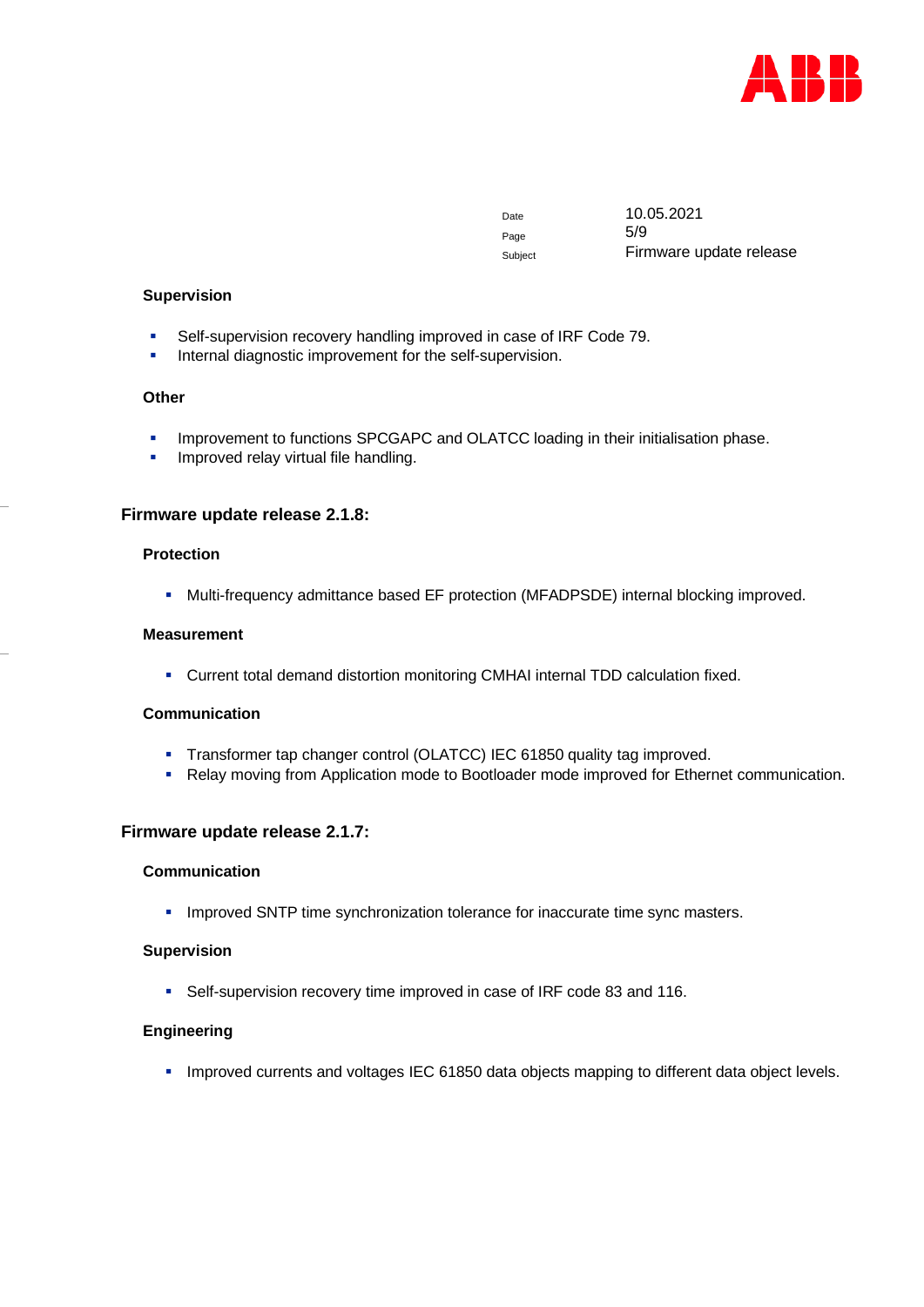

Page 5/9

Date 10.05.2021 Subject **Firmware update release** 

# **Supervision**

- Self-supervision recovery handling improved in case of IRF Code 79.
- **·** Internal diagnostic improvement for the self-supervision.

# **Other**

- **■** Improvement to functions SPCGAPC and OLATCC loading in their initialisation phase.
- **·** Improved relay virtual file handling.

# **Firmware update release 2.1.8:**

# **Protection**

■ Multi-frequency admittance based EF protection (MFADPSDE) internal blocking improved.

#### **Measurement**

▪ Current total demand distortion monitoring CMHAI internal TDD calculation fixed.

# **Communication**

- **·** Transformer tap changer control (OLATCC) IEC 61850 quality tag improved.
- **Relay moving from Application mode to Bootloader mode improved for Ethernet communication.**

# **Firmware update release 2.1.7:**

# **Communication**

**.** Improved SNTP time synchronization tolerance for inaccurate time sync masters.

# **Supervision**

■ Self-supervision recovery time improved in case of IRF code 83 and 116.

# **Engineering**

**.** Improved currents and voltages IEC 61850 data objects mapping to different data object levels.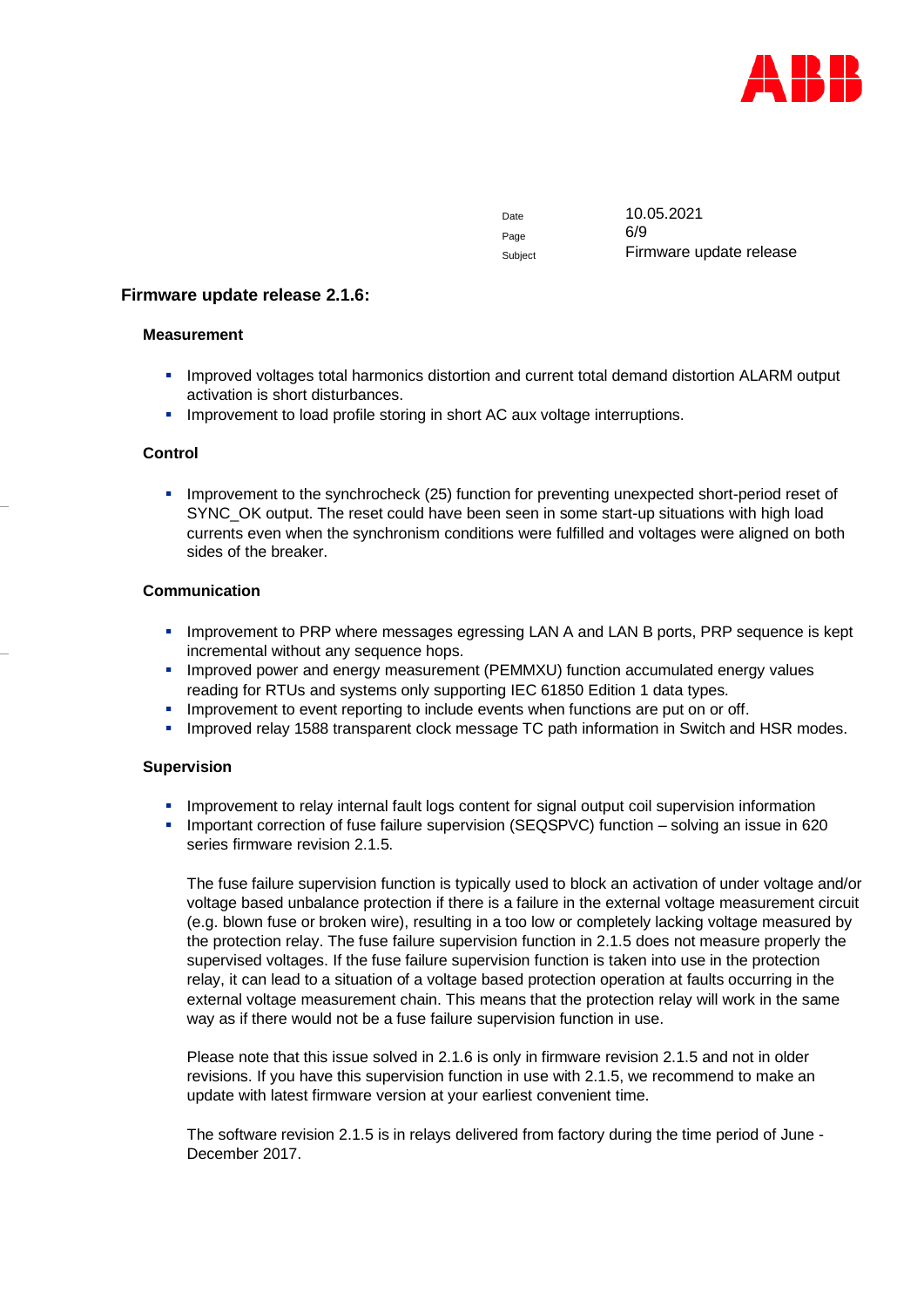

Page 6/9

Date 10.05.2021 Subject **Firmware update release** 

# **Firmware update release 2.1.6:**

#### **Measurement**

- **.** Improved voltages total harmonics distortion and current total demand distortion ALARM output activation is short disturbances.
- **·** Improvement to load profile storing in short AC aux voltage interruptions.

# **Control**

**•** Improvement to the synchrocheck (25) function for preventing unexpected short-period reset of SYNC\_OK output. The reset could have been seen in some start-up situations with high load currents even when the synchronism conditions were fulfilled and voltages were aligned on both sides of the breaker.

# **Communication**

- Improvement to PRP where messages egressing LAN A and LAN B ports, PRP sequence is kept incremental without any sequence hops.
- **EXECT** Improved power and energy measurement (PEMMXU) function accumulated energy values reading for RTUs and systems only supporting IEC 61850 Edition 1 data types.
- **.** Improvement to event reporting to include events when functions are put on or off.
- **Improved relay 1588 transparent clock message TC path information in Switch and HSR modes.**

# **Supervision**

- **.** Improvement to relay internal fault logs content for signal output coil supervision information
- Important correction of fuse failure supervision (SEQSPVC) function solving an issue in 620 series firmware revision 2.1.5.

The fuse failure supervision function is typically used to block an activation of under voltage and/or voltage based unbalance protection if there is a failure in the external voltage measurement circuit (e.g. blown fuse or broken wire), resulting in a too low or completely lacking voltage measured by the protection relay. The fuse failure supervision function in 2.1.5 does not measure properly the supervised voltages. If the fuse failure supervision function is taken into use in the protection relay, it can lead to a situation of a voltage based protection operation at faults occurring in the external voltage measurement chain. This means that the protection relay will work in the same way as if there would not be a fuse failure supervision function in use.

Please note that this issue solved in 2.1.6 is only in firmware revision 2.1.5 and not in older revisions. If you have this supervision function in use with 2.1.5, we recommend to make an update with latest firmware version at your earliest convenient time.

The software revision 2.1.5 is in relays delivered from factory during the time period of June - December 2017.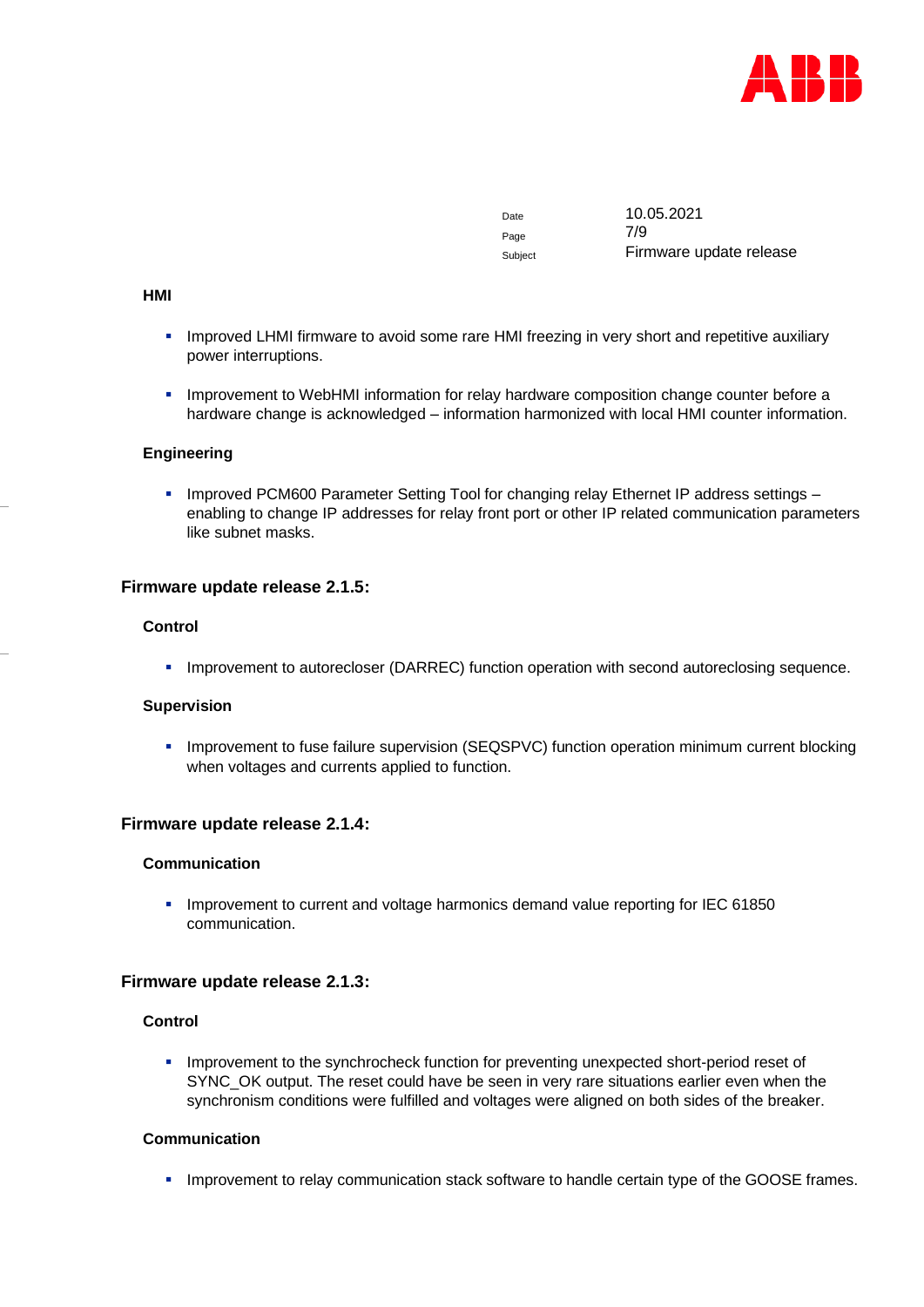

Page 7/9

Date 10.05.2021 Subject **Firmware update release** 

#### **HMI**

- **.** Improved LHMI firmware to avoid some rare HMI freezing in very short and repetitive auxiliary power interruptions.
- **.** Improvement to WebHMI information for relay hardware composition change counter before a hardware change is acknowledged – information harmonized with local HMI counter information.

#### **Engineering**

■ Improved PCM600 Parameter Setting Tool for changing relay Ethernet IP address settings – enabling to change IP addresses for relay front port or other IP related communication parameters like subnet masks.

#### **Firmware update release 2.1.5:**

#### **Control**

**·** Improvement to autorecloser (DARREC) function operation with second autoreclosing sequence.

#### **Supervision**

**·** Improvement to fuse failure supervision (SEQSPVC) function operation minimum current blocking when voltages and currents applied to function.

# **Firmware update release 2.1.4:**

#### **Communication**

▪ Improvement to current and voltage harmonics demand value reporting for IEC 61850 communication.

#### **Firmware update release 2.1.3:**

# **Control**

■ Improvement to the synchrocheck function for preventing unexpected short-period reset of SYNC\_OK output. The reset could have be seen in very rare situations earlier even when the synchronism conditions were fulfilled and voltages were aligned on both sides of the breaker.

#### **Communication**

**.** Improvement to relay communication stack software to handle certain type of the GOOSE frames.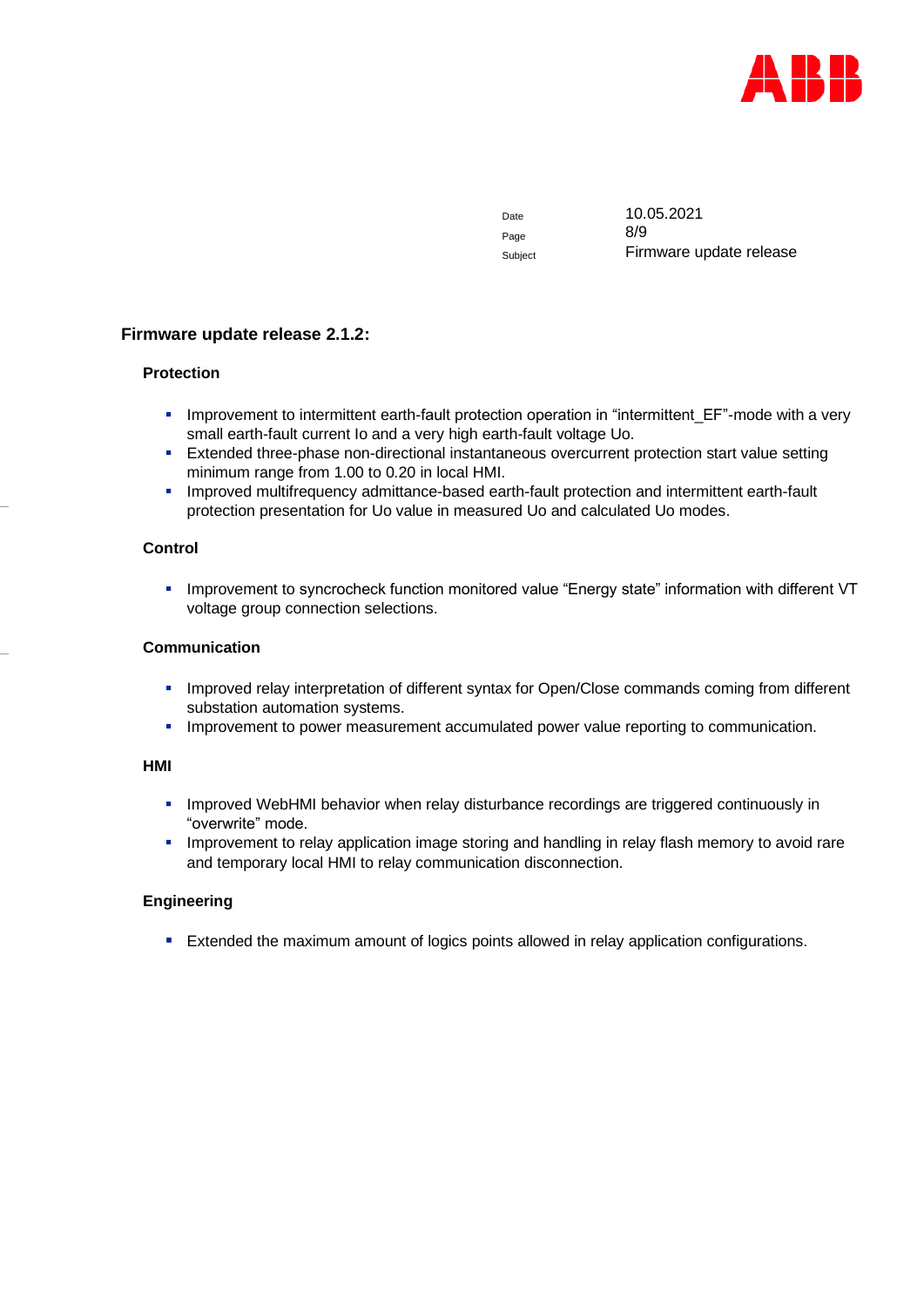

Page 8/9

Date 10.05.2021 Subject **Firmware update release** 

# **Firmware update release 2.1.2:**

#### **Protection**

- **·** Improvement to intermittent earth-fault protection operation in "intermittent\_EF"-mode with a very small earth-fault current Io and a very high earth-fault voltage Uo.
- **Extended three-phase non-directional instantaneous overcurrent protection start value setting** minimum range from 1.00 to 0.20 in local HMI.
- Improved multifrequency admittance-based earth-fault protection and intermittent earth-fault protection presentation for Uo value in measured Uo and calculated Uo modes.

#### **Control**

▪ Improvement to syncrocheck function monitored value "Energy state" information with different VT voltage group connection selections.

#### **Communication**

- Improved relay interpretation of different syntax for Open/Close commands coming from different substation automation systems.
- **Improvement to power measurement accumulated power value reporting to communication.**

#### **HMI**

- **.** Improved WebHMI behavior when relay disturbance recordings are triggered continuously in "overwrite" mode.
- **.** Improvement to relay application image storing and handling in relay flash memory to avoid rare and temporary local HMI to relay communication disconnection.

# **Engineering**

**Extended the maximum amount of logics points allowed in relay application configurations.**